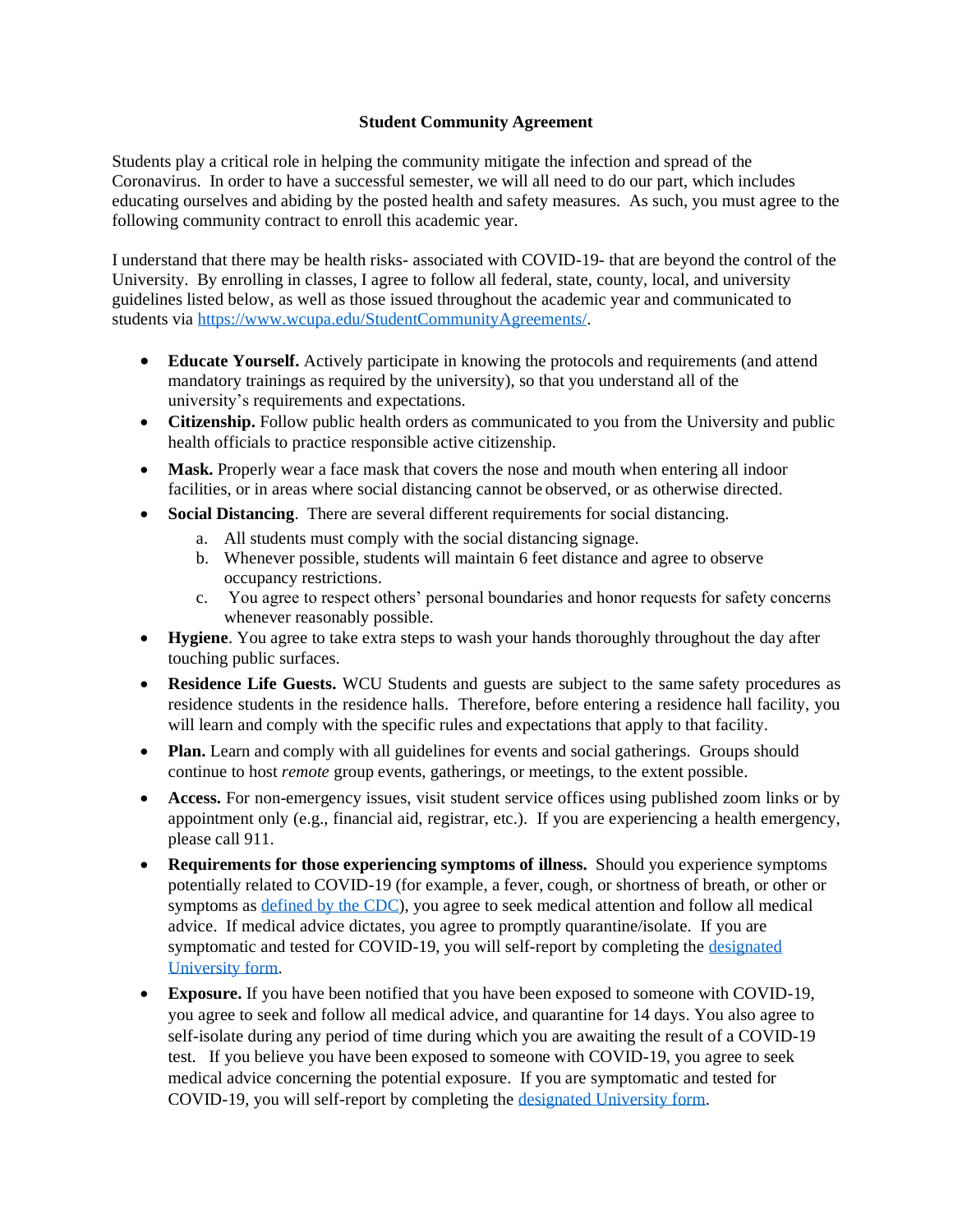## **Student Community Agreement**

Students play a critical role in helping the community mitigate the infection and spread of the Coronavirus. In order to have a successful semester, we will all need to do our part, which includes educating ourselves and abiding by the posted health and safety measures. As such, you must agree to the following community contract to enroll this academic year.

I understand that there may be health risks- associated with COVID-19- that are beyond the control of the University. By enrolling in classes, I agree to follow all federal, state, county, local, and university guidelines listed below, as well as those issued throughout the academic year and communicated to students via [https://www.wcupa.edu/StudentCommunityAgreements/.](https://www.wcupa.edu/healthNotices/studentCommunityAgreements.aspx)

- **Educate Yourself.** Actively participate in knowing the protocols and requirements (and attend mandatory trainings as required by the university), so that you understand all of the university's requirements and expectations.
- **Citizenship.** Follow public health orders as communicated to you from the University and public health officials to practice responsible active citizenship.
- Mask. Properly wear a face mask that covers the nose and mouth when entering all indoor facilities, or in areas where social distancing cannot be observed, or as otherwise directed.
- **Social Distancing**. There are several different requirements for social distancing.
	- a. All students must comply with the social distancing signage.
	- b. Whenever possible, students will maintain 6 feet distance and agree to observe occupancy restrictions.
	- c. You agree to respect others' personal boundaries and honor requests for safety concerns whenever reasonably possible.
- **Hygiene**. You agree to take extra steps to wash your hands thoroughly throughout the day after touching public surfaces.
- **Residence Life Guests.** WCU Students and guests are subject to the same safety procedures as residence students in the residence halls. Therefore, before entering a residence hall facility, you will learn and comply with the specific rules and expectations that apply to that facility.
- **Plan.** Learn and comply with all guidelines for events and social gatherings. Groups should continue to host *remote* group events, gatherings, or meetings, to the extent possible.
- **Access.** For non-emergency issues, visit student service offices using published zoom links or by appointment only (e.g., financial aid, registrar, etc.). If you are experiencing a health emergency, please call 911.
- **Requirements for those experiencing symptoms of illness.** Should you experience symptoms potentially related to COVID-19 (for example, a fever, cough, or shortness of breath, or other or symptoms as [defined by the CDC\)](https://www.cdc.gov/coronavirus/2019-ncov/symptoms-testing/symptoms.html), you agree to seek medical attention and follow all medical advice. If medical advice dictates, you agree to promptly quarantine/isolate. If you are symptomatic and tested for COVID-19, you will self-report by completing the [designated](https://cm.maxient.com/reportingform.php?WestChesterUniv&layout_id=31)  [University form.](https://cm.maxient.com/reportingform.php?WestChesterUniv&layout_id=31)
- **Exposure.** If you have been notified that you have been exposed to someone with COVID-19, you agree to seek and follow all medical advice, and quarantine for 14 days. You also agree to self-isolate during any period of time during which you are awaiting the result of a COVID-19 test. If you believe you have been exposed to someone with COVID-19, you agree to seek medical advice concerning the potential exposure. If you are symptomatic and tested for COVID-19, you will self-report by completing the [designated U](https://cm.maxient.com/reportingform.php?WestChesterUniv&layout_id=31)niversity form.